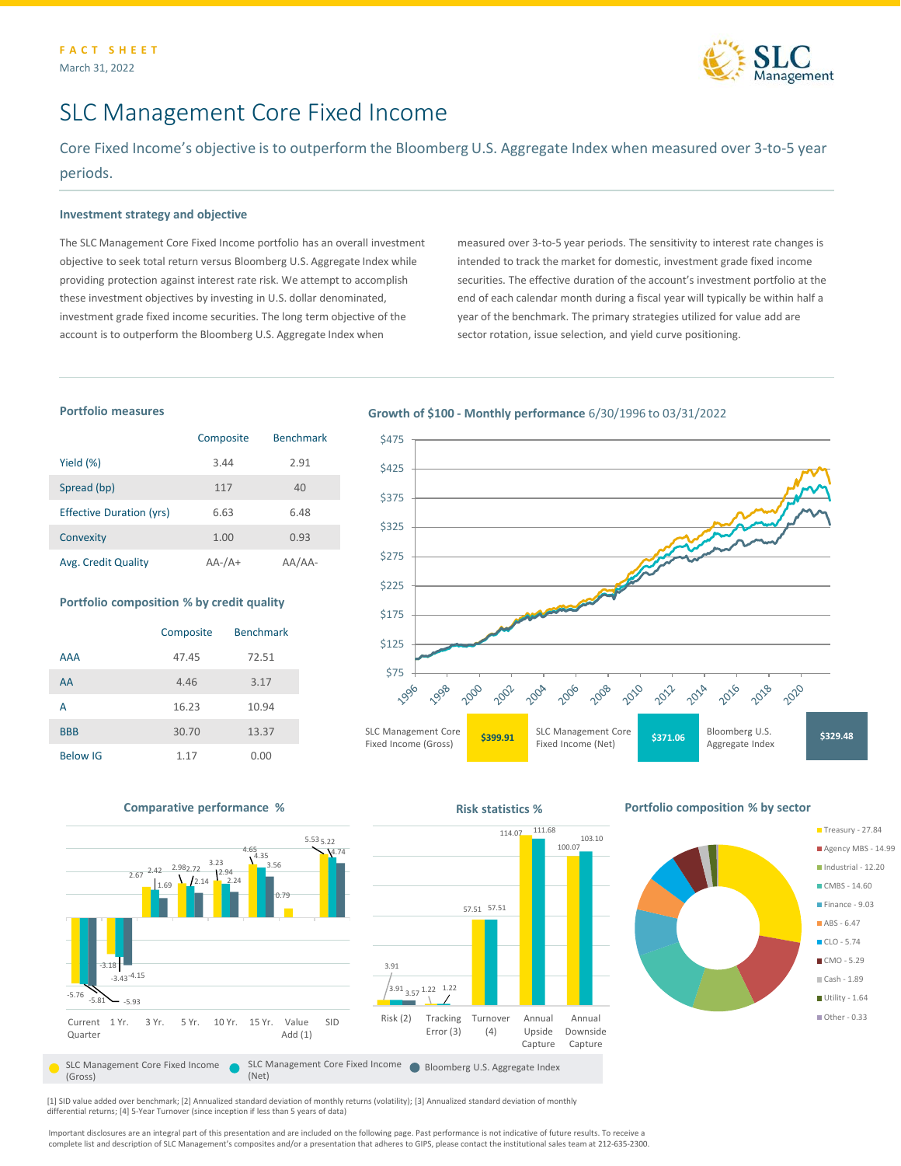

Treasury - 27.84 Agency MBS - 14.99 Industrial - 12.20 CMBS - 14.60 Finance - 9.03  $ABS - 6.47$  $\blacksquare$  CLO - 5.74  $\blacksquare$  CMO - 5.29 Cash - 1.89 Utility - 1.64 ■ Other - 0.33

# SLC Management Core Fixed Income

Core Fixed Income's objective is to outperform the Bloomberg U.S. Aggregate Index when measured over 3-to-5 year periods.

## **Investment strategy and objective**

The SLC Management Core Fixed Income portfolio has an overall investment objective to seek total return versus Bloomberg U.S. Aggregate Index while providing protection against interest rate risk. We attempt to accomplish these investment objectives by investing in U.S. dollar denominated, investment grade fixed income securities. The long term objective of the account is to outperform the Bloomberg U.S. Aggregate Index when

measured over 3-to-5 year periods. The sensitivity to interest rate changes is intended to track the market for domestic, investment grade fixed income securities. The effective duration of the account's investment portfolio at the end of each calendar month during a fiscal year will typically be within half a year of the benchmark. The primary strategies utilized for value add are sector rotation, issue selection, and yield curve positioning.

# **Portfolio measures**

|                                 | Composite     | <b>Benchmark</b> |
|---------------------------------|---------------|------------------|
| Yield $(\%)$                    | 3.44          | 2.91             |
| Spread (bp)                     | 117           | 40               |
| <b>Effective Duration (yrs)</b> | 6.63          | 6.48             |
| Convexity                       | 1.00          | 0.93             |
| Avg. Credit Quality             | $AA$ - $/A$ + | $AA-$            |

#### **Portfolio composition % by credit quality**

|                 | Composite | <b>Benchmark</b> |
|-----------------|-----------|------------------|
| <b>AAA</b>      | 47.45     | 72.51            |
| AA              | 4.46      | 3.17             |
| А               | 16.23     | 10.94            |
| <b>BBB</b>      | 30.70     | 13.37            |
| <b>Below IG</b> | 1.17      | 0.00             |

## **Growth of \$100 - Monthly performance** 6/30/1996 to 03/31/2022





**Comparative performance % All and Server Statistics % Risk statistics % Risk statistics %** 

[1] SID value added over benchmark; [2] Annualized standard deviation of monthly returns (volatility); [3] Annualized standard deviation of monthly differential returns; [4] 5-Year Turnover (since inception if less than 5 years of data)

Important disclosures are an integral part of this presentation and are included on the following page. Past performance is not indicative of future results. To receive a complete list and description of SLC Management's composites and/or a presentation that adheres to GIPS, please contact the institutional sales team at 212-635-2300.